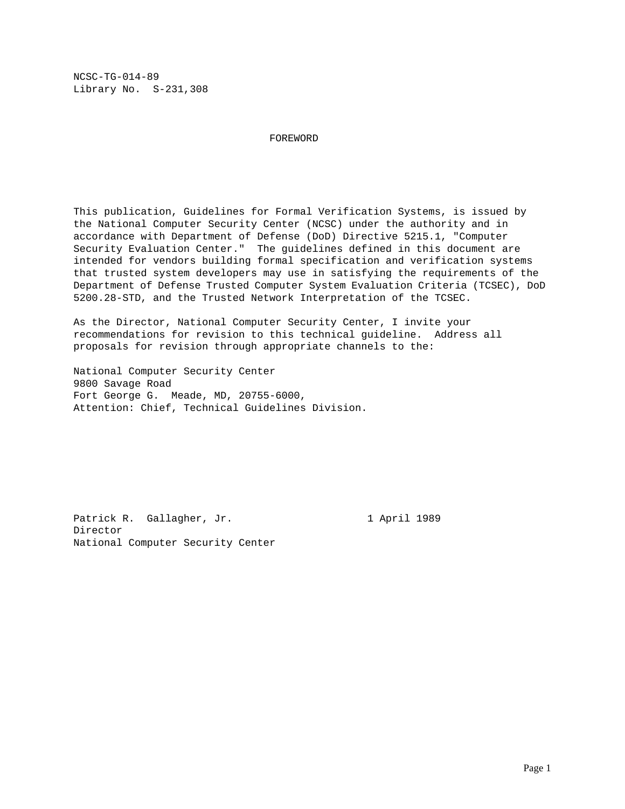NCSC-TG-014-89 Library No. S-231,308

# FOREWORD

This publication, Guidelines for Formal Verification Systems, is issued by the National Computer Security Center (NCSC) under the authority and in accordance with Department of Defense (DoD) Directive 5215.1, "Computer Security Evaluation Center." The guidelines defined in this document are intended for vendors building formal specification and verification systems that trusted system developers may use in satisfying the requirements of the Department of Defense Trusted Computer System Evaluation Criteria (TCSEC), DoD 5200.28-STD, and the Trusted Network Interpretation of the TCSEC.

As the Director, National Computer Security Center, I invite your recommendations for revision to this technical guideline. Address all proposals for revision through appropriate channels to the:

National Computer Security Center 9800 Savage Road Fort George G. Meade, MD, 20755-6000, Attention: Chief, Technical Guidelines Division.

Patrick R. Gallagher, Jr. 1 April 1989 Director National Computer Security Center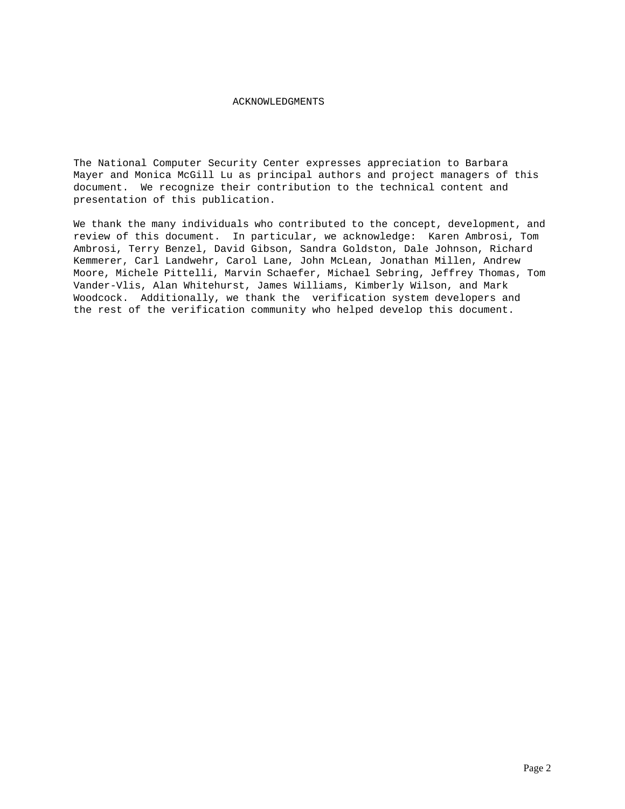# ACKNOWLEDGMENTS

The National Computer Security Center expresses appreciation to Barbara Mayer and Monica McGill Lu as principal authors and project managers of this document. We recognize their contribution to the technical content and presentation of this publication.

We thank the many individuals who contributed to the concept, development, and review of this document. In particular, we acknowledge: Karen Ambrosi, Tom Ambrosi, Terry Benzel, David Gibson, Sandra Goldston, Dale Johnson, Richard Kemmerer, Carl Landwehr, Carol Lane, John McLean, Jonathan Millen, Andrew Moore, Michele Pittelli, Marvin Schaefer, Michael Sebring, Jeffrey Thomas, Tom Vander-Vlis, Alan Whitehurst, James Williams, Kimberly Wilson, and Mark Woodcock. Additionally, we thank the verification system developers and the rest of the verification community who helped develop this document.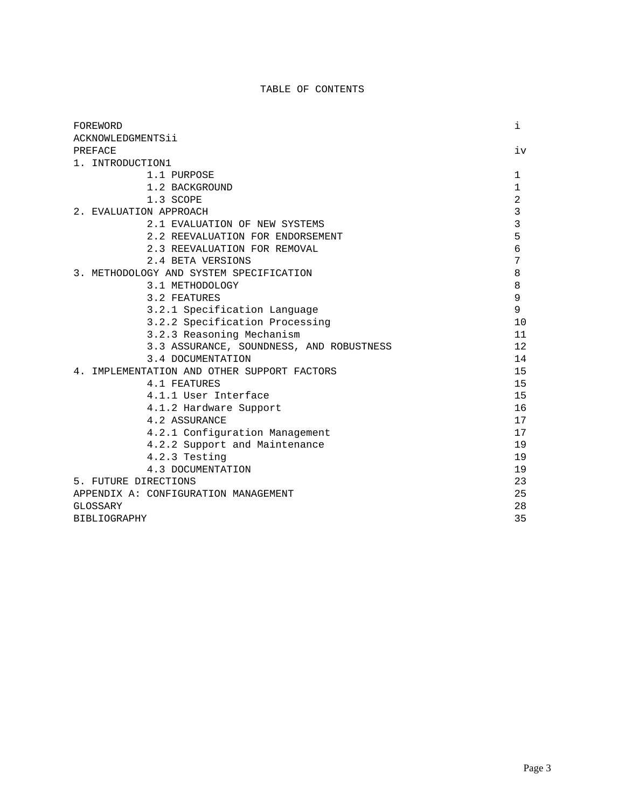# TABLE OF CONTENTS

| FOREWORD                                    | i.             |
|---------------------------------------------|----------------|
| ACKNOWLEDGMENTSii                           |                |
| PREFACE                                     | iv             |
| 1. INTRODUCTION1                            |                |
| 1.1 PURPOSE                                 | 1              |
| 1.2 BACKGROUND                              | $\mathbf{1}$   |
| 1.3 SCOPE                                   | $\overline{2}$ |
| 2. EVALUATION APPROACH                      | 3              |
| 2.1 EVALUATION OF NEW SYSTEMS               | 3              |
| 2.2 REEVALUATION FOR ENDORSEMENT            | 5              |
| 2.3 REEVALUATION FOR REMOVAL                | $\epsilon$     |
| 2.4 BETA VERSIONS                           | 7              |
| 3. METHODOLOGY AND SYSTEM SPECIFICATION     | 8              |
| 3.1 METHODOLOGY                             | 8              |
| 3.2 FEATURES                                | 9              |
| 3.2.1 Specification Language                | 9              |
| 3.2.2 Specification Processing              | 10             |
| 3.2.3 Reasoning Mechanism                   | 11             |
| 3.3 ASSURANCE, SOUNDNESS, AND ROBUSTNESS    | 12             |
| 3.4 DOCUMENTATION                           | 14             |
| 4. IMPLEMENTATION AND OTHER SUPPORT FACTORS | 15             |
| 4.1 FEATURES                                | 15             |
| 4.1.1 User Interface                        | 15             |
| 4.1.2 Hardware Support                      | 16             |
| 4.2 ASSURANCE                               | 17             |
| 4.2.1 Configuration Management              | 17             |
| 4.2.2 Support and Maintenance               | 19             |
| 4.2.3 Testing                               | 19             |
| 4.3 DOCUMENTATION                           | 19             |
| 5. FUTURE DIRECTIONS                        | 23             |
| APPENDIX A: CONFIGURATION MANAGEMENT        | 25             |
| GLOSSARY                                    | 28             |
| <b>BIBLIOGRAPHY</b>                         | 35             |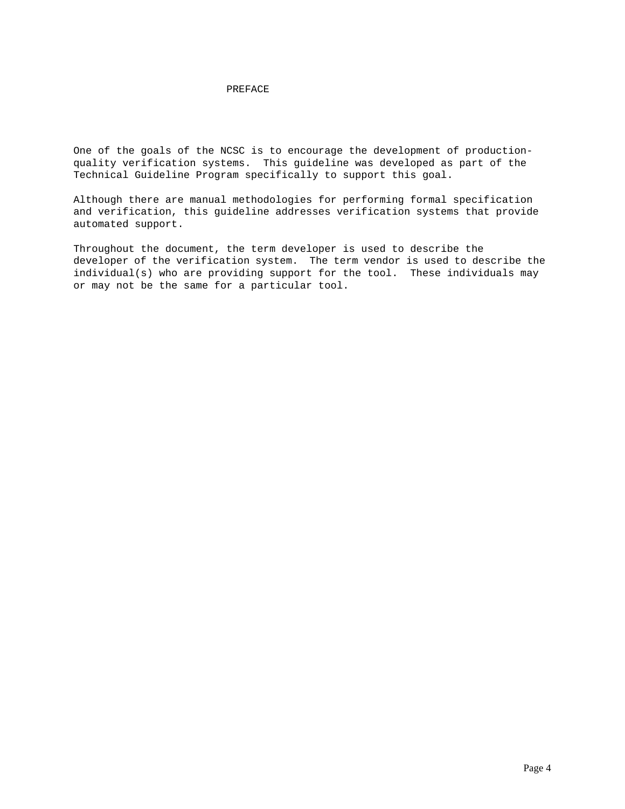# PREFACE

One of the goals of the NCSC is to encourage the development of productionquality verification systems. This guideline was developed as part of the Technical Guideline Program specifically to support this goal.

Although there are manual methodologies for performing formal specification and verification, this guideline addresses verification systems that provide automated support.

Throughout the document, the term developer is used to describe the developer of the verification system. The term vendor is used to describe the individual(s) who are providing support for the tool. These individuals may or may not be the same for a particular tool.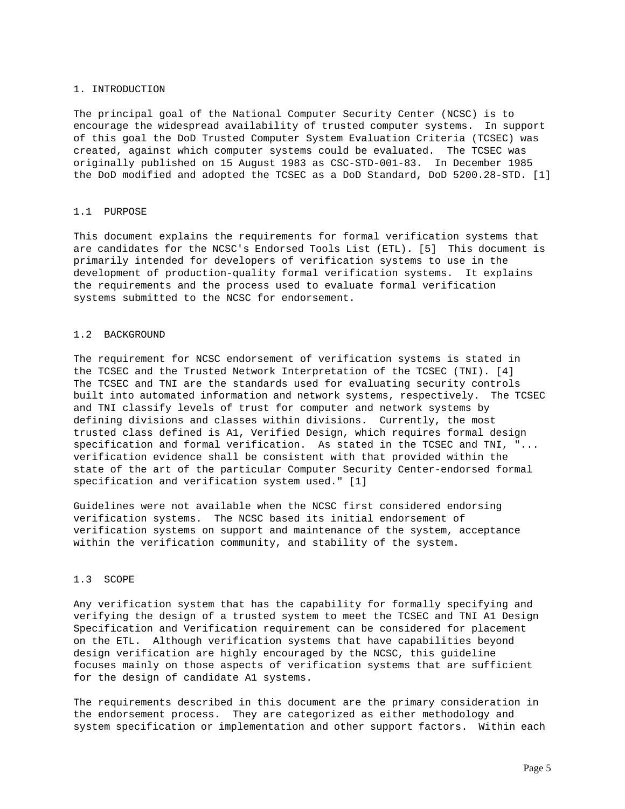### 1. INTRODUCTION

The principal goal of the National Computer Security Center (NCSC) is to encourage the widespread availability of trusted computer systems. In support of this goal the DoD Trusted Computer System Evaluation Criteria (TCSEC) was created, against which computer systems could be evaluated. The TCSEC was originally published on 15 August 1983 as CSC-STD-001-83. In December 1985 the DoD modified and adopted the TCSEC as a DoD Standard, DoD 5200.28-STD. [1]

## 1.1 PURPOSE

This document explains the requirements for formal verification systems that are candidates for the NCSC's Endorsed Tools List (ETL). [5] This document is primarily intended for developers of verification systems to use in the development of production-quality formal verification systems. It explains the requirements and the process used to evaluate formal verification systems submitted to the NCSC for endorsement.

### 1.2 BACKGROUND

The requirement for NCSC endorsement of verification systems is stated in the TCSEC and the Trusted Network Interpretation of the TCSEC (TNI). [4] The TCSEC and TNI are the standards used for evaluating security controls built into automated information and network systems, respectively. The TCSEC and TNI classify levels of trust for computer and network systems by defining divisions and classes within divisions. Currently, the most trusted class defined is A1, Verified Design, which requires formal design specification and formal verification. As stated in the TCSEC and TNI, "... verification evidence shall be consistent with that provided within the state of the art of the particular Computer Security Center-endorsed formal specification and verification system used." [1]

Guidelines were not available when the NCSC first considered endorsing verification systems. The NCSC based its initial endorsement of verification systems on support and maintenance of the system, acceptance within the verification community, and stability of the system.

# 1.3 SCOPE

Any verification system that has the capability for formally specifying and verifying the design of a trusted system to meet the TCSEC and TNI A1 Design Specification and Verification requirement can be considered for placement on the ETL. Although verification systems that have capabilities beyond design verification are highly encouraged by the NCSC, this guideline focuses mainly on those aspects of verification systems that are sufficient for the design of candidate A1 systems.

The requirements described in this document are the primary consideration in the endorsement process. They are categorized as either methodology and system specification or implementation and other support factors. Within each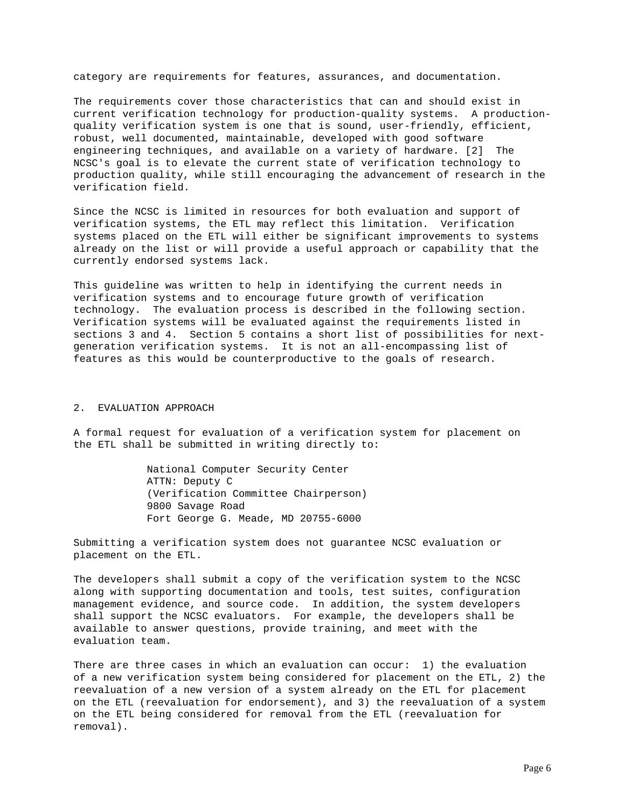category are requirements for features, assurances, and documentation.

The requirements cover those characteristics that can and should exist in current verification technology for production-quality systems. A productionquality verification system is one that is sound, user-friendly, efficient, robust, well documented, maintainable, developed with good software engineering techniques, and available on a variety of hardware. [2] The NCSC's goal is to elevate the current state of verification technology to production quality, while still encouraging the advancement of research in the verification field.

Since the NCSC is limited in resources for both evaluation and support of verification systems, the ETL may reflect this limitation. Verification systems placed on the ETL will either be significant improvements to systems already on the list or will provide a useful approach or capability that the currently endorsed systems lack.

This guideline was written to help in identifying the current needs in verification systems and to encourage future growth of verification technology. The evaluation process is described in the following section. Verification systems will be evaluated against the requirements listed in sections 3 and 4. Section 5 contains a short list of possibilities for nextgeneration verification systems. It is not an all-encompassing list of features as this would be counterproductive to the goals of research.

# 2. EVALUATION APPROACH

A formal request for evaluation of a verification system for placement on the ETL shall be submitted in writing directly to:

> National Computer Security Center ATTN: Deputy C (Verification Committee Chairperson) 9800 Savage Road Fort George G. Meade, MD 20755-6000

Submitting a verification system does not guarantee NCSC evaluation or placement on the ETL.

The developers shall submit a copy of the verification system to the NCSC along with supporting documentation and tools, test suites, configuration management evidence, and source code. In addition, the system developers shall support the NCSC evaluators. For example, the developers shall be available to answer questions, provide training, and meet with the evaluation team.

There are three cases in which an evaluation can occur: 1) the evaluation of a new verification system being considered for placement on the ETL, 2) the reevaluation of a new version of a system already on the ETL for placement on the ETL (reevaluation for endorsement), and 3) the reevaluation of a system on the ETL being considered for removal from the ETL (reevaluation for removal).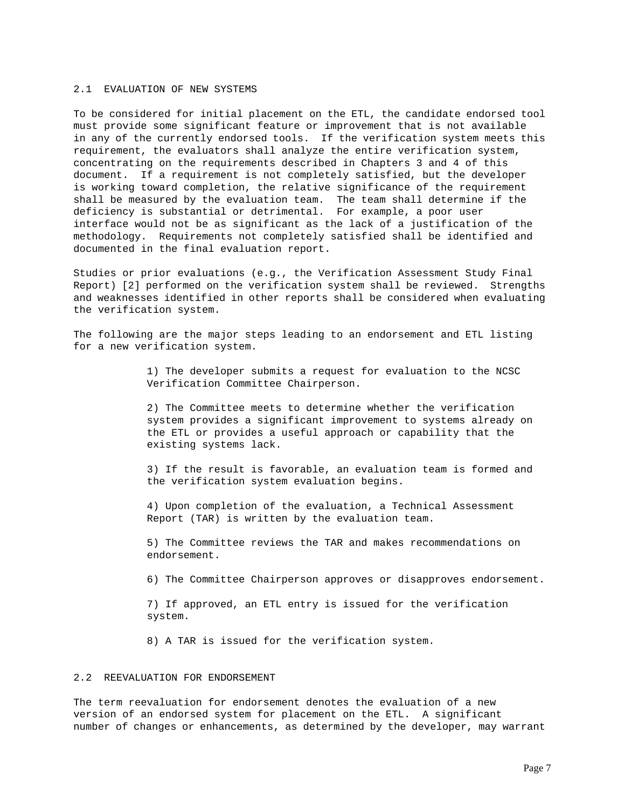### 2.1 EVALUATION OF NEW SYSTEMS

To be considered for initial placement on the ETL, the candidate endorsed tool must provide some significant feature or improvement that is not available in any of the currently endorsed tools. If the verification system meets this requirement, the evaluators shall analyze the entire verification system, concentrating on the requirements described in Chapters 3 and 4 of this document. If a requirement is not completely satisfied, but the developer is working toward completion, the relative significance of the requirement shall be measured by the evaluation team. The team shall determine if the deficiency is substantial or detrimental. For example, a poor user interface would not be as significant as the lack of a justification of the methodology. Requirements not completely satisfied shall be identified and documented in the final evaluation report.

Studies or prior evaluations (e.g., the Verification Assessment Study Final Report) [2] performed on the verification system shall be reviewed. Strengths and weaknesses identified in other reports shall be considered when evaluating the verification system.

The following are the major steps leading to an endorsement and ETL listing for a new verification system.

> 1) The developer submits a request for evaluation to the NCSC Verification Committee Chairperson.

2) The Committee meets to determine whether the verification system provides a significant improvement to systems already on the ETL or provides a useful approach or capability that the existing systems lack.

3) If the result is favorable, an evaluation team is formed and the verification system evaluation begins.

4) Upon completion of the evaluation, a Technical Assessment Report (TAR) is written by the evaluation team.

5) The Committee reviews the TAR and makes recommendations on endorsement.

6) The Committee Chairperson approves or disapproves endorsement.

7) If approved, an ETL entry is issued for the verification system.

8) A TAR is issued for the verification system.

# 2.2 REEVALUATION FOR ENDORSEMENT

The term reevaluation for endorsement denotes the evaluation of a new version of an endorsed system for placement on the ETL. A significant number of changes or enhancements, as determined by the developer, may warrant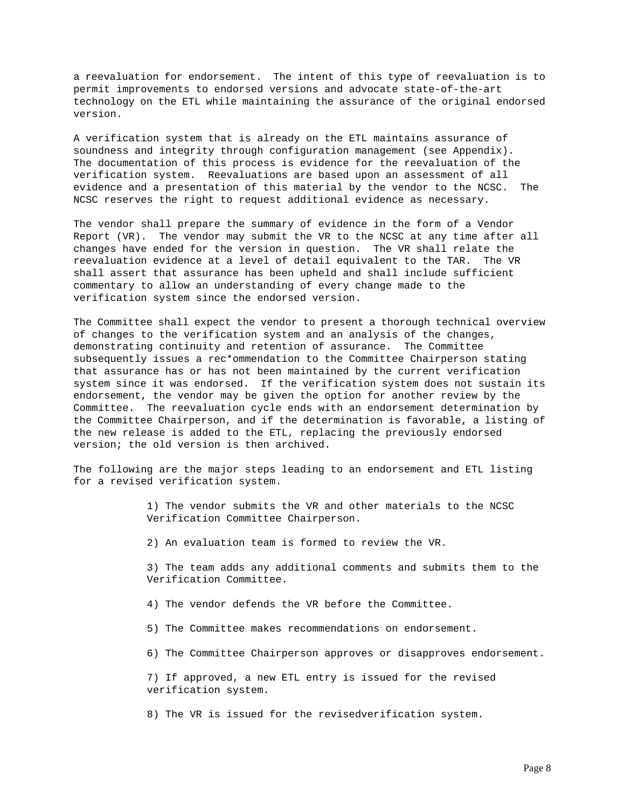a reevaluation for endorsement. The intent of this type of reevaluation is to permit improvements to endorsed versions and advocate state-of-the-art technology on the ETL while maintaining the assurance of the original endorsed version.

A verification system that is already on the ETL maintains assurance of soundness and integrity through configuration management (see Appendix). The documentation of this process is evidence for the reevaluation of the verification system. Reevaluations are based upon an assessment of all evidence and a presentation of this material by the vendor to the NCSC. The NCSC reserves the right to request additional evidence as necessary.

The vendor shall prepare the summary of evidence in the form of a Vendor Report (VR). The vendor may submit the VR to the NCSC at any time after all changes have ended for the version in question. The VR shall relate the reevaluation evidence at a level of detail equivalent to the TAR. The VR shall assert that assurance has been upheld and shall include sufficient commentary to allow an understanding of every change made to the verification system since the endorsed version.

The Committee shall expect the vendor to present a thorough technical overview of changes to the verification system and an analysis of the changes, demonstrating continuity and retention of assurance. The Committee subsequently issues a rec\*ommendation to the Committee Chairperson stating that assurance has or has not been maintained by the current verification system since it was endorsed. If the verification system does not sustain its endorsement, the vendor may be given the option for another review by the Committee. The reevaluation cycle ends with an endorsement determination by the Committee Chairperson, and if the determination is favorable, a listing of the new release is added to the ETL, replacing the previously endorsed version; the old version is then archived.

The following are the major steps leading to an endorsement and ETL listing for a revised verification system.

> 1) The vendor submits the VR and other materials to the NCSC Verification Committee Chairperson.

2) An evaluation team is formed to review the VR.

3) The team adds any additional comments and submits them to the Verification Committee.

4) The vendor defends the VR before the Committee.

- 5) The Committee makes recommendations on endorsement.
- 6) The Committee Chairperson approves or disapproves endorsement.

7) If approved, a new ETL entry is issued for the revised verification system.

8) The VR is issued for the revisedverification system.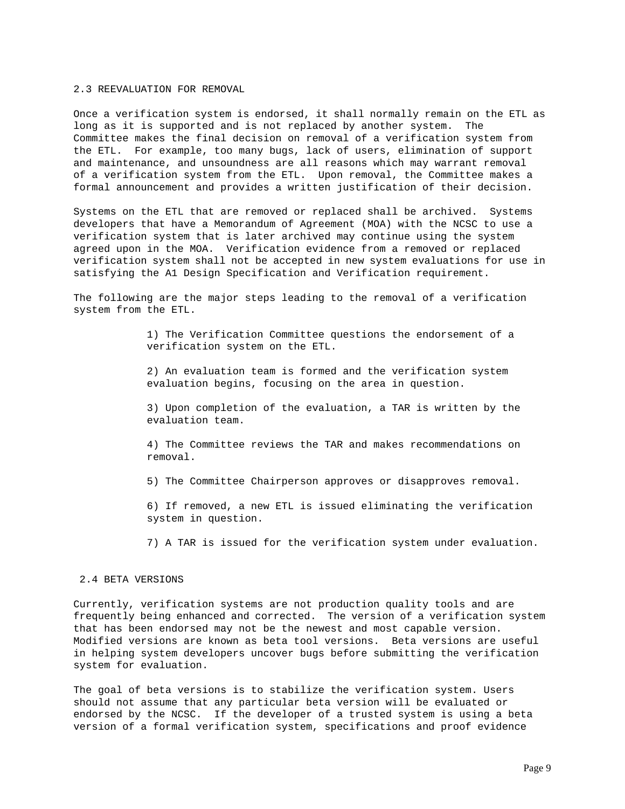### 2.3 REEVALUATION FOR REMOVAL

Once a verification system is endorsed, it shall normally remain on the ETL as long as it is supported and is not replaced by another system. The Committee makes the final decision on removal of a verification system from the ETL. For example, too many bugs, lack of users, elimination of support and maintenance, and unsoundness are all reasons which may warrant removal of a verification system from the ETL. Upon removal, the Committee makes a formal announcement and provides a written justification of their decision.

Systems on the ETL that are removed or replaced shall be archived. Systems developers that have a Memorandum of Agreement (MOA) with the NCSC to use a verification system that is later archived may continue using the system agreed upon in the MOA. Verification evidence from a removed or replaced verification system shall not be accepted in new system evaluations for use in satisfying the A1 Design Specification and Verification requirement.

The following are the major steps leading to the removal of a verification system from the ETL.

> 1) The Verification Committee questions the endorsement of a verification system on the ETL.

2) An evaluation team is formed and the verification system evaluation begins, focusing on the area in question.

3) Upon completion of the evaluation, a TAR is written by the evaluation team.

4) The Committee reviews the TAR and makes recommendations on removal.

5) The Committee Chairperson approves or disapproves removal.

6) If removed, a new ETL is issued eliminating the verification system in question.

7) A TAR is issued for the verification system under evaluation.

# 2.4 BETA VERSIONS

Currently, verification systems are not production quality tools and are frequently being enhanced and corrected. The version of a verification system that has been endorsed may not be the newest and most capable version. Modified versions are known as beta tool versions. Beta versions are useful in helping system developers uncover bugs before submitting the verification system for evaluation.

The goal of beta versions is to stabilize the verification system. Users should not assume that any particular beta version will be evaluated or endorsed by the NCSC. If the developer of a trusted system is using a beta version of a formal verification system, specifications and proof evidence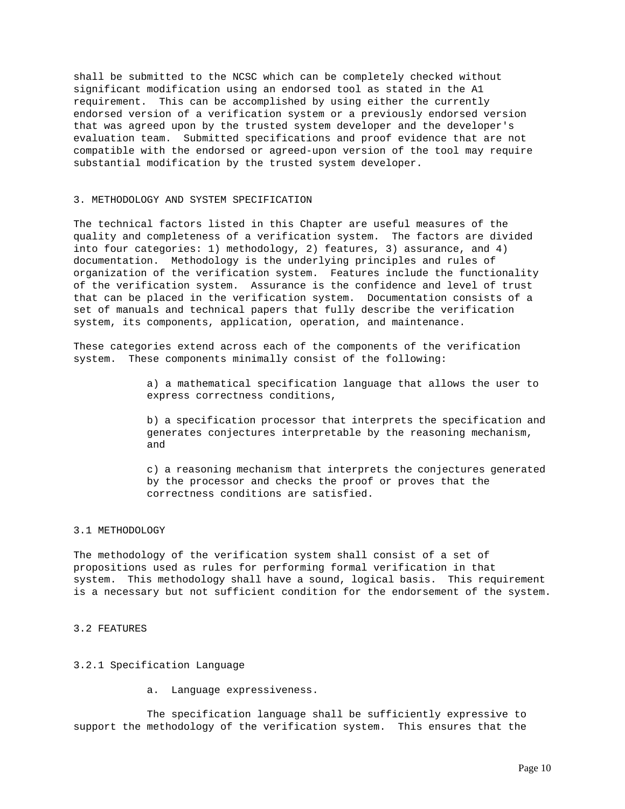shall be submitted to the NCSC which can be completely checked without significant modification using an endorsed tool as stated in the A1 requirement. This can be accomplished by using either the currently endorsed version of a verification system or a previously endorsed version that was agreed upon by the trusted system developer and the developer's evaluation team. Submitted specifications and proof evidence that are not compatible with the endorsed or agreed-upon version of the tool may require substantial modification by the trusted system developer.

# 3. METHODOLOGY AND SYSTEM SPECIFICATION

The technical factors listed in this Chapter are useful measures of the quality and completeness of a verification system. The factors are divided into four categories: 1) methodology, 2) features, 3) assurance, and 4) documentation. Methodology is the underlying principles and rules of organization of the verification system. Features include the functionality of the verification system. Assurance is the confidence and level of trust that can be placed in the verification system. Documentation consists of a set of manuals and technical papers that fully describe the verification system, its components, application, operation, and maintenance.

These categories extend across each of the components of the verification system. These components minimally consist of the following:

> a) a mathematical specification language that allows the user to express correctness conditions,

b) a specification processor that interprets the specification and generates conjectures interpretable by the reasoning mechanism, and

c) a reasoning mechanism that interprets the conjectures generated by the processor and checks the proof or proves that the correctness conditions are satisfied.

## 3.1 METHODOLOGY

The methodology of the verification system shall consist of a set of propositions used as rules for performing formal verification in that system. This methodology shall have a sound, logical basis. This requirement is a necessary but not sufficient condition for the endorsement of the system.

# 3.2 FEATURES

## 3.2.1 Specification Language

a. Language expressiveness.

The specification language shall be sufficiently expressive to support the methodology of the verification system. This ensures that the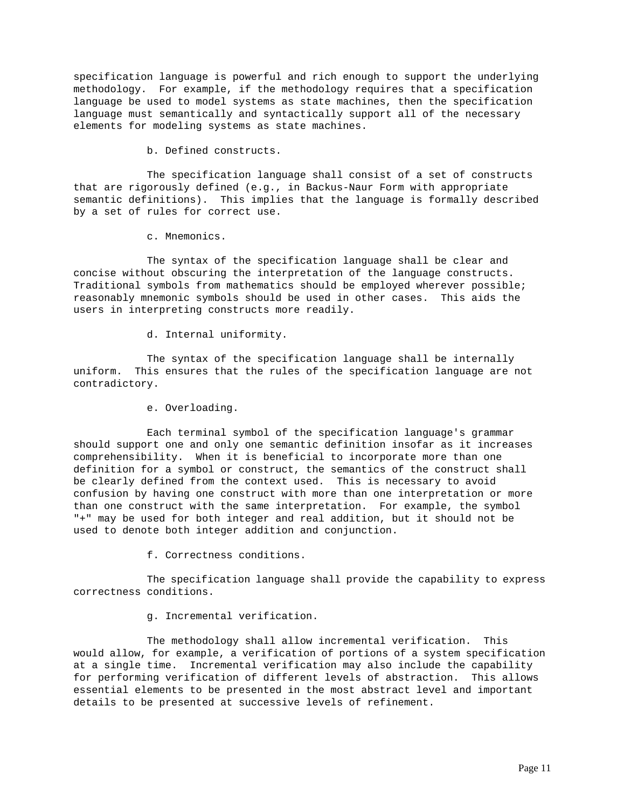specification language is powerful and rich enough to support the underlying methodology. For example, if the methodology requires that a specification language be used to model systems as state machines, then the specification language must semantically and syntactically support all of the necessary elements for modeling systems as state machines.

b. Defined constructs.

The specification language shall consist of a set of constructs that are rigorously defined (e.g., in Backus-Naur Form with appropriate semantic definitions). This implies that the language is formally described by a set of rules for correct use.

c. Mnemonics.

The syntax of the specification language shall be clear and concise without obscuring the interpretation of the language constructs. Traditional symbols from mathematics should be employed wherever possible; reasonably mnemonic symbols should be used in other cases. This aids the users in interpreting constructs more readily.

d. Internal uniformity.

The syntax of the specification language shall be internally uniform. This ensures that the rules of the specification language are not contradictory.

e. Overloading.

Each terminal symbol of the specification language's grammar should support one and only one semantic definition insofar as it increases comprehensibility. When it is beneficial to incorporate more than one definition for a symbol or construct, the semantics of the construct shall be clearly defined from the context used. This is necessary to avoid confusion by having one construct with more than one interpretation or more than one construct with the same interpretation. For example, the symbol "+" may be used for both integer and real addition, but it should not be used to denote both integer addition and conjunction.

f. Correctness conditions.

The specification language shall provide the capability to express correctness conditions.

g. Incremental verification.

The methodology shall allow incremental verification. This would allow, for example, a verification of portions of a system specification at a single time. Incremental verification may also include the capability for performing verification of different levels of abstraction. This allows essential elements to be presented in the most abstract level and important details to be presented at successive levels of refinement.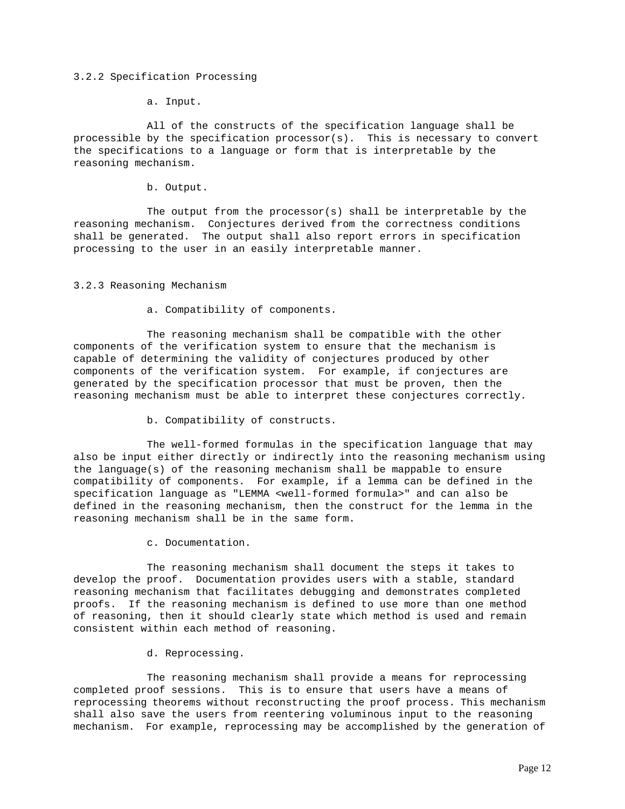# 3.2.2 Specification Processing

## a. Input.

All of the constructs of the specification language shall be processible by the specification processor(s). This is necessary to convert the specifications to a language or form that is interpretable by the reasoning mechanism.

## b. Output.

The output from the  $processor(s)$  shall be interpretable by the reasoning mechanism. Conjectures derived from the correctness conditions shall be generated. The output shall also report errors in specification processing to the user in an easily interpretable manner.

# 3.2.3 Reasoning Mechanism

a. Compatibility of components.

The reasoning mechanism shall be compatible with the other components of the verification system to ensure that the mechanism is capable of determining the validity of conjectures produced by other components of the verification system. For example, if conjectures are generated by the specification processor that must be proven, then the reasoning mechanism must be able to interpret these conjectures correctly.

b. Compatibility of constructs.

The well-formed formulas in the specification language that may also be input either directly or indirectly into the reasoning mechanism using the language(s) of the reasoning mechanism shall be mappable to ensure compatibility of components. For example, if a lemma can be defined in the specification language as "LEMMA <well-formed formula>" and can also be defined in the reasoning mechanism, then the construct for the lemma in the reasoning mechanism shall be in the same form.

c. Documentation.

The reasoning mechanism shall document the steps it takes to develop the proof. Documentation provides users with a stable, standard reasoning mechanism that facilitates debugging and demonstrates completed proofs. If the reasoning mechanism is defined to use more than one method of reasoning, then it should clearly state which method is used and remain consistent within each method of reasoning.

d. Reprocessing.

The reasoning mechanism shall provide a means for reprocessing completed proof sessions. This is to ensure that users have a means of reprocessing theorems without reconstructing the proof process. This mechanism shall also save the users from reentering voluminous input to the reasoning mechanism. For example, reprocessing may be accomplished by the generation of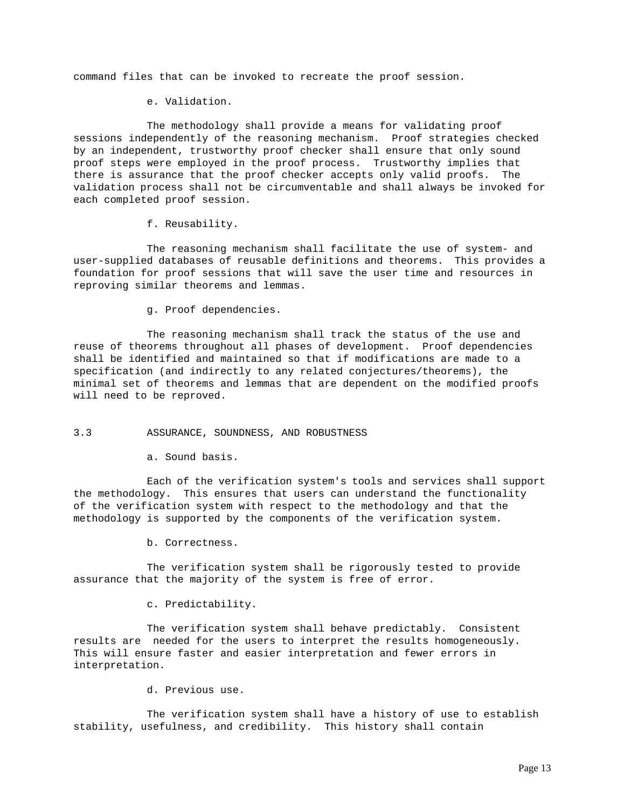command files that can be invoked to recreate the proof session.

e. Validation.

The methodology shall provide a means for validating proof sessions independently of the reasoning mechanism. Proof strategies checked by an independent, trustworthy proof checker shall ensure that only sound proof steps were employed in the proof process. Trustworthy implies that there is assurance that the proof checker accepts only valid proofs. The validation process shall not be circumventable and shall always be invoked for each completed proof session.

f. Reusability.

The reasoning mechanism shall facilitate the use of system- and user-supplied databases of reusable definitions and theorems. This provides a foundation for proof sessions that will save the user time and resources in reproving similar theorems and lemmas.

g. Proof dependencies.

The reasoning mechanism shall track the status of the use and reuse of theorems throughout all phases of development. Proof dependencies shall be identified and maintained so that if modifications are made to a specification (and indirectly to any related conjectures/theorems), the minimal set of theorems and lemmas that are dependent on the modified proofs will need to be reproved.

# 3.3 ASSURANCE, SOUNDNESS, AND ROBUSTNESS

a. Sound basis.

Each of the verification system's tools and services shall support the methodology. This ensures that users can understand the functionality of the verification system with respect to the methodology and that the methodology is supported by the components of the verification system.

b. Correctness.

The verification system shall be rigorously tested to provide assurance that the majority of the system is free of error.

c. Predictability.

The verification system shall behave predictably. Consistent results are needed for the users to interpret the results homogeneously. This will ensure faster and easier interpretation and fewer errors in interpretation.

d. Previous use.

The verification system shall have a history of use to establish stability, usefulness, and credibility. This history shall contain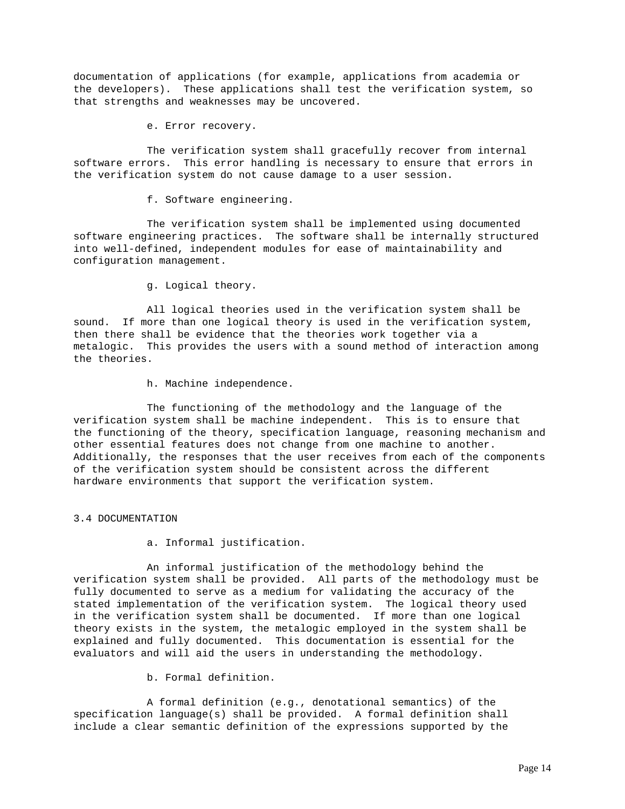documentation of applications (for example, applications from academia or the developers). These applications shall test the verification system, so that strengths and weaknesses may be uncovered.

e. Error recovery.

The verification system shall gracefully recover from internal software errors. This error handling is necessary to ensure that errors in the verification system do not cause damage to a user session.

f. Software engineering.

The verification system shall be implemented using documented software engineering practices. The software shall be internally structured into well-defined, independent modules for ease of maintainability and configuration management.

g. Logical theory.

All logical theories used in the verification system shall be sound. If more than one logical theory is used in the verification system, then there shall be evidence that the theories work together via a metalogic. This provides the users with a sound method of interaction among the theories.

h. Machine independence.

The functioning of the methodology and the language of the verification system shall be machine independent. This is to ensure that the functioning of the theory, specification language, reasoning mechanism and other essential features does not change from one machine to another. Additionally, the responses that the user receives from each of the components of the verification system should be consistent across the different hardware environments that support the verification system.

3.4 DOCUMENTATION

a. Informal justification.

An informal justification of the methodology behind the verification system shall be provided. All parts of the methodology must be fully documented to serve as a medium for validating the accuracy of the stated implementation of the verification system. The logical theory used in the verification system shall be documented. If more than one logical theory exists in the system, the metalogic employed in the system shall be explained and fully documented. This documentation is essential for the evaluators and will aid the users in understanding the methodology.

b. Formal definition.

A formal definition (e.g., denotational semantics) of the specification language(s) shall be provided. A formal definition shall include a clear semantic definition of the expressions supported by the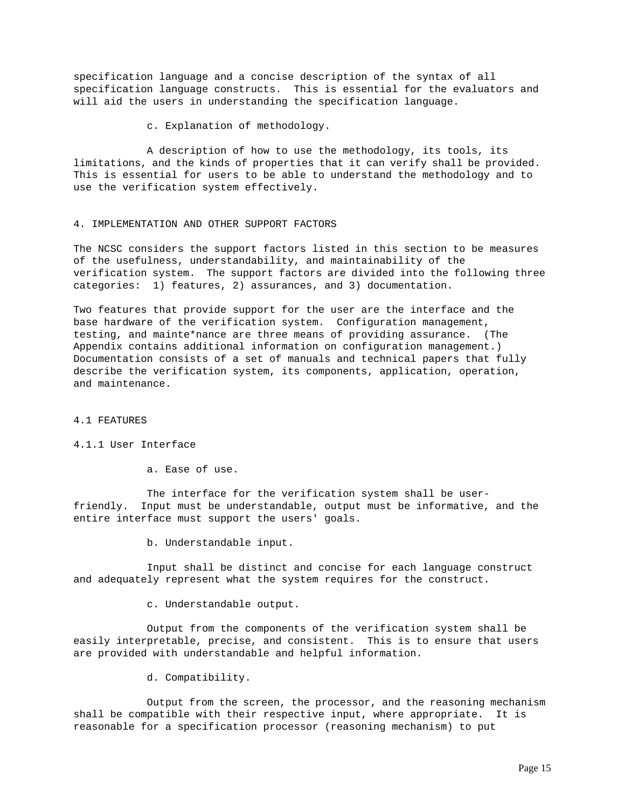specification language and a concise description of the syntax of all specification language constructs. This is essential for the evaluators and will aid the users in understanding the specification language.

c. Explanation of methodology.

A description of how to use the methodology, its tools, its limitations, and the kinds of properties that it can verify shall be provided. This is essential for users to be able to understand the methodology and to use the verification system effectively.

### 4. IMPLEMENTATION AND OTHER SUPPORT FACTORS

The NCSC considers the support factors listed in this section to be measures of the usefulness, understandability, and maintainability of the verification system. The support factors are divided into the following three categories: 1) features, 2) assurances, and 3) documentation.

Two features that provide support for the user are the interface and the base hardware of the verification system. Configuration management, testing, and mainte\*nance are three means of providing assurance. (The Appendix contains additional information on configuration management.) Documentation consists of a set of manuals and technical papers that fully describe the verification system, its components, application, operation, and maintenance.

### 4.1 FEATURES

4.1.1 User Interface

a. Ease of use.

The interface for the verification system shall be userfriendly. Input must be understandable, output must be informative, and the entire interface must support the users' goals.

b. Understandable input.

Input shall be distinct and concise for each language construct and adequately represent what the system requires for the construct.

c. Understandable output.

Output from the components of the verification system shall be easily interpretable, precise, and consistent. This is to ensure that users are provided with understandable and helpful information.

d. Compatibility.

Output from the screen, the processor, and the reasoning mechanism shall be compatible with their respective input, where appropriate. It is reasonable for a specification processor (reasoning mechanism) to put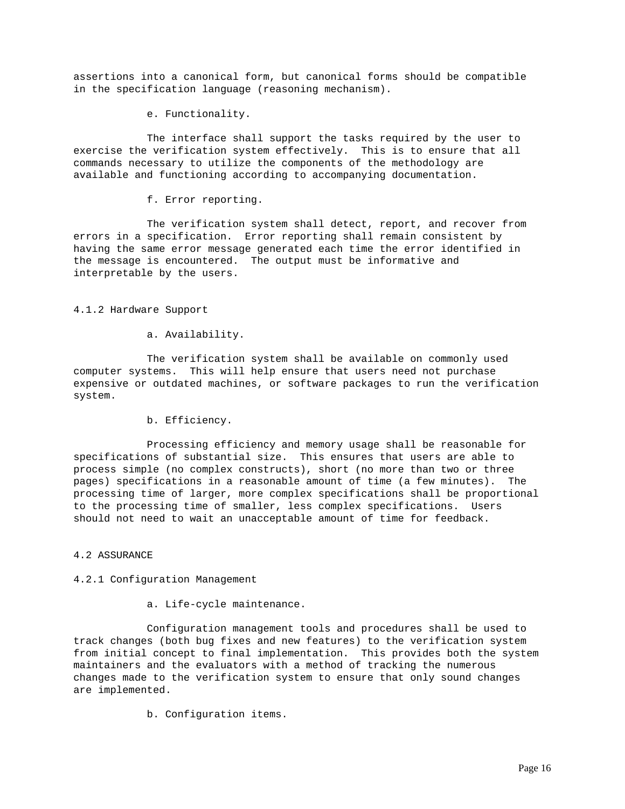assertions into a canonical form, but canonical forms should be compatible in the specification language (reasoning mechanism).

e. Functionality.

The interface shall support the tasks required by the user to exercise the verification system effectively. This is to ensure that all commands necessary to utilize the components of the methodology are available and functioning according to accompanying documentation.

f. Error reporting.

The verification system shall detect, report, and recover from errors in a specification. Error reporting shall remain consistent by having the same error message generated each time the error identified in the message is encountered. The output must be informative and interpretable by the users.

4.1.2 Hardware Support

a. Availability.

The verification system shall be available on commonly used computer systems. This will help ensure that users need not purchase expensive or outdated machines, or software packages to run the verification system.

b. Efficiency.

Processing efficiency and memory usage shall be reasonable for specifications of substantial size. This ensures that users are able to process simple (no complex constructs), short (no more than two or three pages) specifications in a reasonable amount of time (a few minutes). The processing time of larger, more complex specifications shall be proportional to the processing time of smaller, less complex specifications. Users should not need to wait an unacceptable amount of time for feedback.

4.2 ASSURANCE

4.2.1 Configuration Management

a. Life-cycle maintenance.

Configuration management tools and procedures shall be used to track changes (both bug fixes and new features) to the verification system from initial concept to final implementation. This provides both the system maintainers and the evaluators with a method of tracking the numerous changes made to the verification system to ensure that only sound changes are implemented.

b. Configuration items.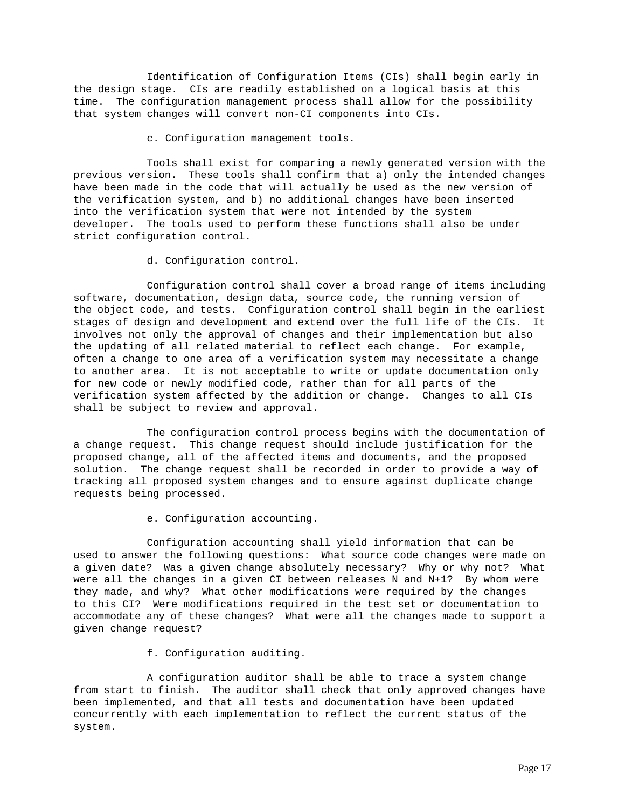Identification of Configuration Items (CIs) shall begin early in the design stage. CIs are readily established on a logical basis at this time. The configuration management process shall allow for the possibility that system changes will convert non-CI components into CIs.

c. Configuration management tools.

Tools shall exist for comparing a newly generated version with the previous version. These tools shall confirm that a) only the intended changes have been made in the code that will actually be used as the new version of the verification system, and b) no additional changes have been inserted into the verification system that were not intended by the system developer. The tools used to perform these functions shall also be under strict configuration control.

d. Configuration control.

Configuration control shall cover a broad range of items including software, documentation, design data, source code, the running version of the object code, and tests. Configuration control shall begin in the earliest stages of design and development and extend over the full life of the CIs. It involves not only the approval of changes and their implementation but also the updating of all related material to reflect each change. For example, often a change to one area of a verification system may necessitate a change to another area. It is not acceptable to write or update documentation only for new code or newly modified code, rather than for all parts of the verification system affected by the addition or change. Changes to all CIs shall be subject to review and approval.

The configuration control process begins with the documentation of a change request. This change request should include justification for the proposed change, all of the affected items and documents, and the proposed solution. The change request shall be recorded in order to provide a way of tracking all proposed system changes and to ensure against duplicate change requests being processed.

e. Configuration accounting.

Configuration accounting shall yield information that can be used to answer the following questions: What source code changes were made on a given date? Was a given change absolutely necessary? Why or why not? What were all the changes in a given CI between releases N and N+1? By whom were they made, and why? What other modifications were required by the changes to this CI? Were modifications required in the test set or documentation to accommodate any of these changes? What were all the changes made to support a given change request?

f. Configuration auditing.

A configuration auditor shall be able to trace a system change from start to finish. The auditor shall check that only approved changes have been implemented, and that all tests and documentation have been updated concurrently with each implementation to reflect the current status of the system.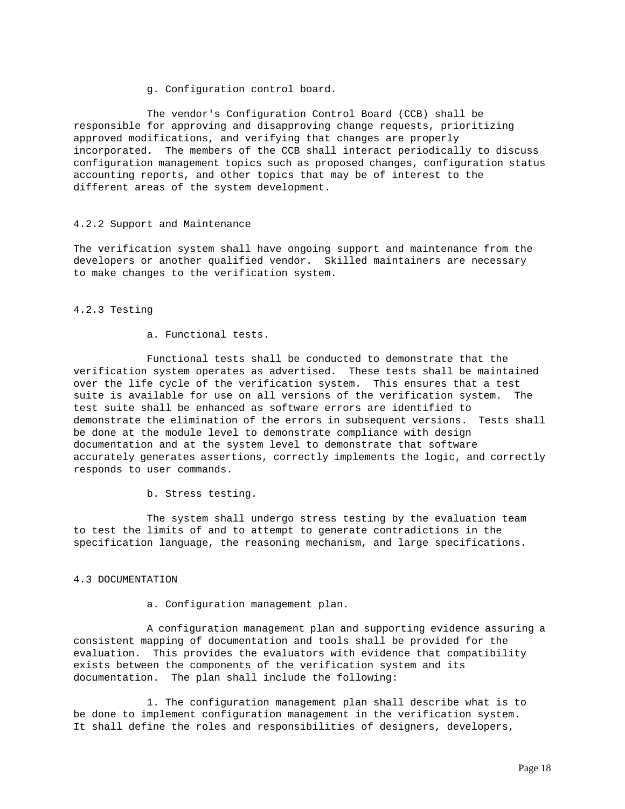g. Configuration control board.

The vendor's Configuration Control Board (CCB) shall be responsible for approving and disapproving change requests, prioritizing approved modifications, and verifying that changes are properly incorporated. The members of the CCB shall interact periodically to discuss configuration management topics such as proposed changes, configuration status accounting reports, and other topics that may be of interest to the different areas of the system development.

# 4.2.2 Support and Maintenance

The verification system shall have ongoing support and maintenance from the developers or another qualified vendor. Skilled maintainers are necessary to make changes to the verification system.

# 4.2.3 Testing

### a. Functional tests.

Functional tests shall be conducted to demonstrate that the verification system operates as advertised. These tests shall be maintained over the life cycle of the verification system. This ensures that a test suite is available for use on all versions of the verification system. The test suite shall be enhanced as software errors are identified to demonstrate the elimination of the errors in subsequent versions. Tests shall be done at the module level to demonstrate compliance with design documentation and at the system level to demonstrate that software accurately generates assertions, correctly implements the logic, and correctly responds to user commands.

b. Stress testing.

The system shall undergo stress testing by the evaluation team to test the limits of and to attempt to generate contradictions in the specification language, the reasoning mechanism, and large specifications.

# 4.3 DOCUMENTATION

#### a. Configuration management plan.

A configuration management plan and supporting evidence assuring a consistent mapping of documentation and tools shall be provided for the evaluation. This provides the evaluators with evidence that compatibility exists between the components of the verification system and its documentation. The plan shall include the following:

1. The configuration management plan shall describe what is to be done to implement configuration management in the verification system. It shall define the roles and responsibilities of designers, developers,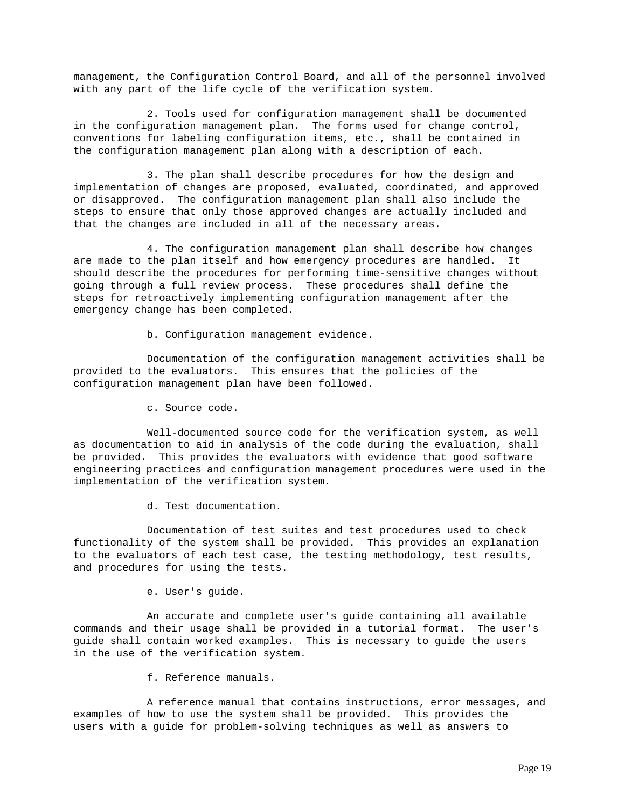management, the Configuration Control Board, and all of the personnel involved with any part of the life cycle of the verification system.

2. Tools used for configuration management shall be documented in the configuration management plan. The forms used for change control, conventions for labeling configuration items, etc., shall be contained in the configuration management plan along with a description of each.

3. The plan shall describe procedures for how the design and implementation of changes are proposed, evaluated, coordinated, and approved or disapproved. The configuration management plan shall also include the steps to ensure that only those approved changes are actually included and that the changes are included in all of the necessary areas.

4. The configuration management plan shall describe how changes are made to the plan itself and how emergency procedures are handled. It should describe the procedures for performing time-sensitive changes without going through a full review process. These procedures shall define the steps for retroactively implementing configuration management after the emergency change has been completed.

b. Configuration management evidence.

Documentation of the configuration management activities shall be provided to the evaluators. This ensures that the policies of the configuration management plan have been followed.

c. Source code.

Well-documented source code for the verification system, as well as documentation to aid in analysis of the code during the evaluation, shall be provided. This provides the evaluators with evidence that good software engineering practices and configuration management procedures were used in the implementation of the verification system.

d. Test documentation.

Documentation of test suites and test procedures used to check functionality of the system shall be provided. This provides an explanation to the evaluators of each test case, the testing methodology, test results, and procedures for using the tests.

e. User's guide.

An accurate and complete user's guide containing all available commands and their usage shall be provided in a tutorial format. The user's guide shall contain worked examples. This is necessary to guide the users in the use of the verification system.

f. Reference manuals.

A reference manual that contains instructions, error messages, and examples of how to use the system shall be provided. This provides the users with a guide for problem-solving techniques as well as answers to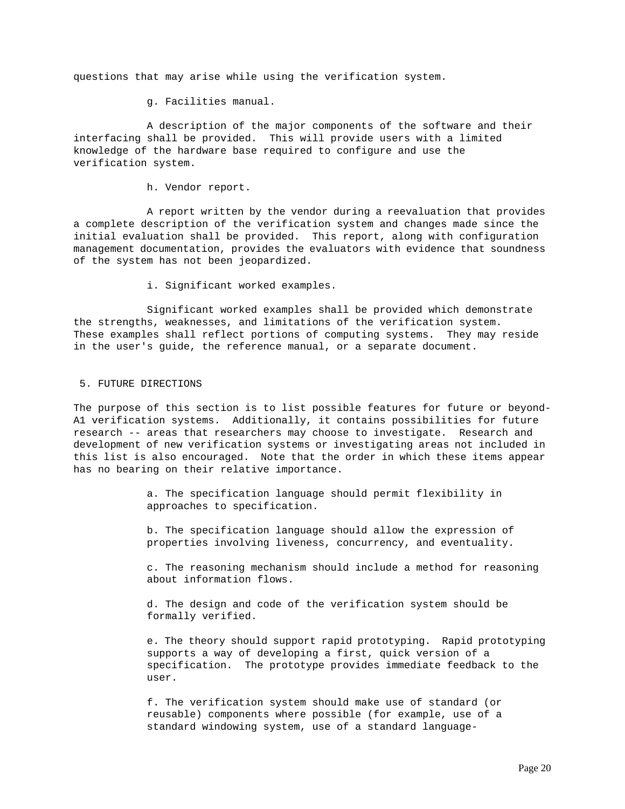questions that may arise while using the verification system.

g. Facilities manual.

A description of the major components of the software and their interfacing shall be provided. This will provide users with a limited knowledge of the hardware base required to configure and use the verification system.

h. Vendor report.

A report written by the vendor during a reevaluation that provides a complete description of the verification system and changes made since the initial evaluation shall be provided. This report, along with configuration management documentation, provides the evaluators with evidence that soundness of the system has not been jeopardized.

i. Significant worked examples.

Significant worked examples shall be provided which demonstrate the strengths, weaknesses, and limitations of the verification system. These examples shall reflect portions of computing systems. They may reside in the user's guide, the reference manual, or a separate document.

## 5. FUTURE DIRECTIONS

The purpose of this section is to list possible features for future or beyond-A1 verification systems. Additionally, it contains possibilities for future research -- areas that researchers may choose to investigate. Research and development of new verification systems or investigating areas not included in this list is also encouraged. Note that the order in which these items appear has no bearing on their relative importance.

> a. The specification language should permit flexibility in approaches to specification.

b. The specification language should allow the expression of properties involving liveness, concurrency, and eventuality.

c. The reasoning mechanism should include a method for reasoning about information flows.

d. The design and code of the verification system should be formally verified.

e. The theory should support rapid prototyping. Rapid prototyping supports a way of developing a first, quick version of a specification. The prototype provides immediate feedback to the user.

f. The verification system should make use of standard (or reusable) components where possible (for example, use of a standard windowing system, use of a standard language-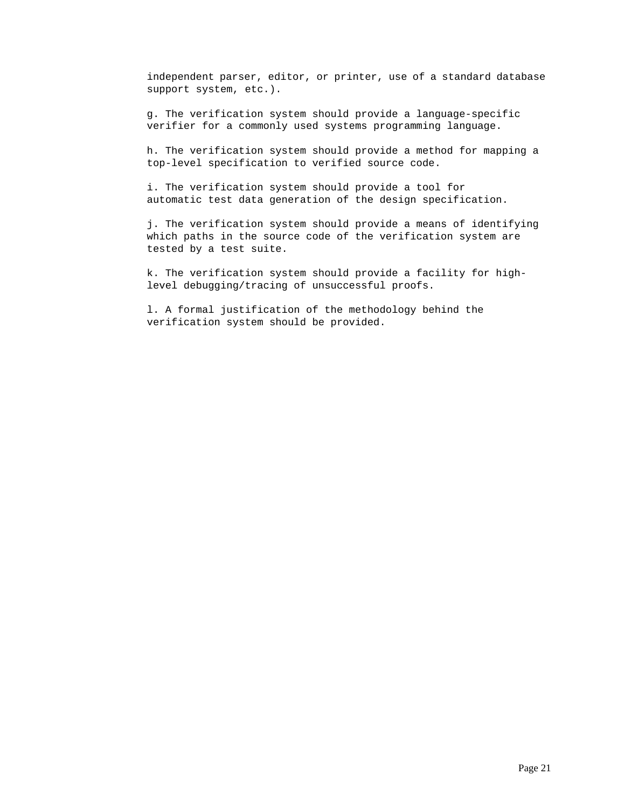independent parser, editor, or printer, use of a standard database support system, etc.).

g. The verification system should provide a language-specific verifier for a commonly used systems programming language.

h. The verification system should provide a method for mapping a top-level specification to verified source code.

i. The verification system should provide a tool for automatic test data generation of the design specification.

j. The verification system should provide a means of identifying which paths in the source code of the verification system are tested by a test suite.

k. The verification system should provide a facility for highlevel debugging/tracing of unsuccessful proofs.

l. A formal justification of the methodology behind the verification system should be provided.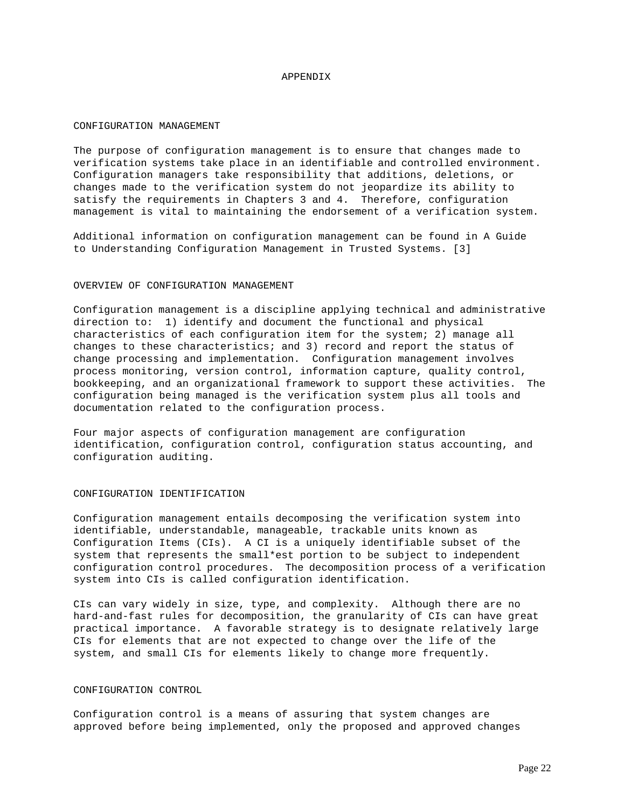#### APPENDIX

#### CONFIGURATION MANAGEMENT

The purpose of configuration management is to ensure that changes made to verification systems take place in an identifiable and controlled environment. Configuration managers take responsibility that additions, deletions, or changes made to the verification system do not jeopardize its ability to satisfy the requirements in Chapters 3 and 4. Therefore, configuration management is vital to maintaining the endorsement of a verification system.

Additional information on configuration management can be found in A Guide to Understanding Configuration Management in Trusted Systems. [3]

### OVERVIEW OF CONFIGURATION MANAGEMENT

Configuration management is a discipline applying technical and administrative direction to: 1) identify and document the functional and physical characteristics of each configuration item for the system; 2) manage all changes to these characteristics; and 3) record and report the status of change processing and implementation. Configuration management involves process monitoring, version control, information capture, quality control, bookkeeping, and an organizational framework to support these activities. The configuration being managed is the verification system plus all tools and documentation related to the configuration process.

Four major aspects of configuration management are configuration identification, configuration control, configuration status accounting, and configuration auditing.

# CONFIGURATION IDENTIFICATION

Configuration management entails decomposing the verification system into identifiable, understandable, manageable, trackable units known as Configuration Items (CIs). A CI is a uniquely identifiable subset of the system that represents the small\*est portion to be subject to independent configuration control procedures. The decomposition process of a verification system into CIs is called configuration identification.

CIs can vary widely in size, type, and complexity. Although there are no hard-and-fast rules for decomposition, the granularity of CIs can have great practical importance. A favorable strategy is to designate relatively large CIs for elements that are not expected to change over the life of the system, and small CIs for elements likely to change more frequently.

# CONFIGURATION CONTROL

Configuration control is a means of assuring that system changes are approved before being implemented, only the proposed and approved changes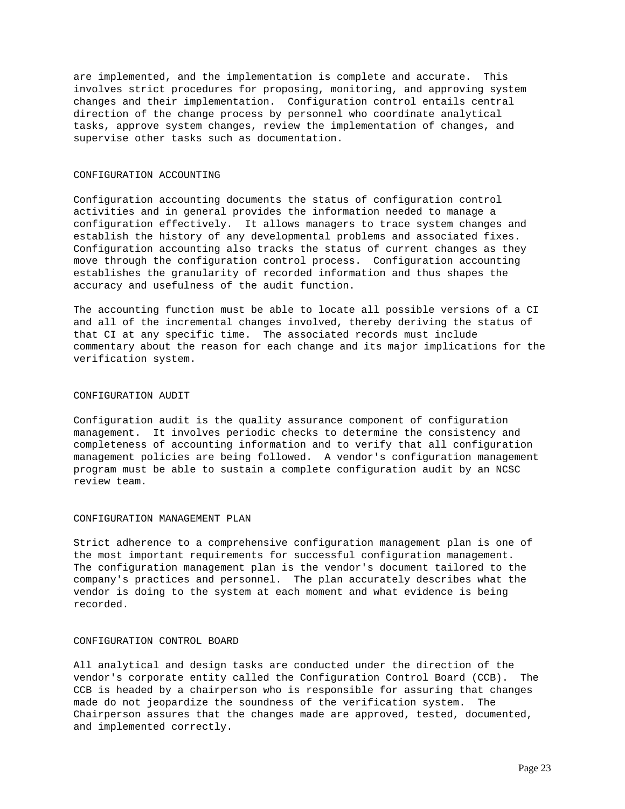are implemented, and the implementation is complete and accurate. This involves strict procedures for proposing, monitoring, and approving system changes and their implementation. Configuration control entails central direction of the change process by personnel who coordinate analytical tasks, approve system changes, review the implementation of changes, and supervise other tasks such as documentation.

## CONFIGURATION ACCOUNTING

Configuration accounting documents the status of configuration control activities and in general provides the information needed to manage a configuration effectively. It allows managers to trace system changes and establish the history of any developmental problems and associated fixes. Configuration accounting also tracks the status of current changes as they move through the configuration control process. Configuration accounting establishes the granularity of recorded information and thus shapes the accuracy and usefulness of the audit function.

The accounting function must be able to locate all possible versions of a CI and all of the incremental changes involved, thereby deriving the status of that CI at any specific time. The associated records must include commentary about the reason for each change and its major implications for the verification system.

### CONFIGURATION AUDIT

Configuration audit is the quality assurance component of configuration management. It involves periodic checks to determine the consistency and completeness of accounting information and to verify that all configuration management policies are being followed. A vendor's configuration management program must be able to sustain a complete configuration audit by an NCSC review team.

### CONFIGURATION MANAGEMENT PLAN

Strict adherence to a comprehensive configuration management plan is one of the most important requirements for successful configuration management. The configuration management plan is the vendor's document tailored to the company's practices and personnel. The plan accurately describes what the vendor is doing to the system at each moment and what evidence is being recorded.

# CONFIGURATION CONTROL BOARD

All analytical and design tasks are conducted under the direction of the vendor's corporate entity called the Configuration Control Board (CCB). The CCB is headed by a chairperson who is responsible for assuring that changes made do not jeopardize the soundness of the verification system. The Chairperson assures that the changes made are approved, tested, documented, and implemented correctly.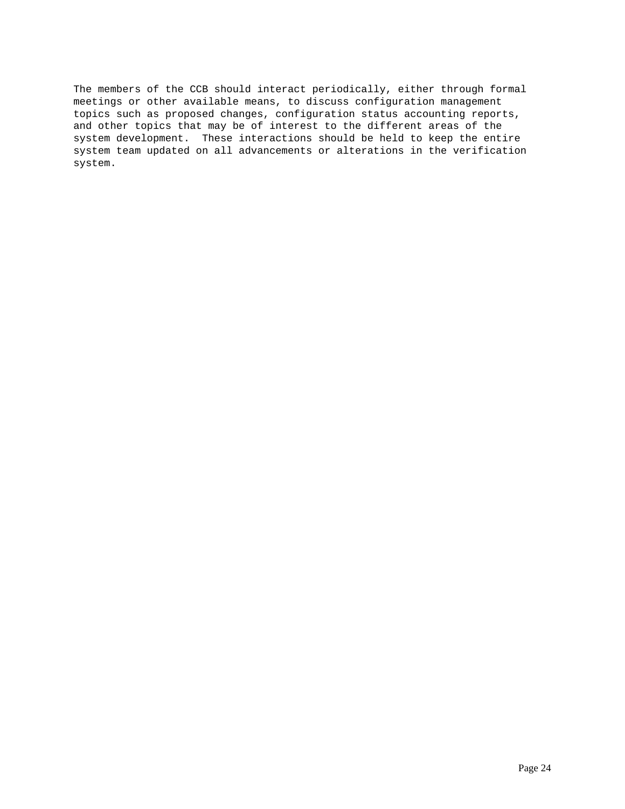The members of the CCB should interact periodically, either through formal meetings or other available means, to discuss configuration management topics such as proposed changes, configuration status accounting reports, and other topics that may be of interest to the different areas of the system development. These interactions should be held to keep the entire system team updated on all advancements or alterations in the verification system.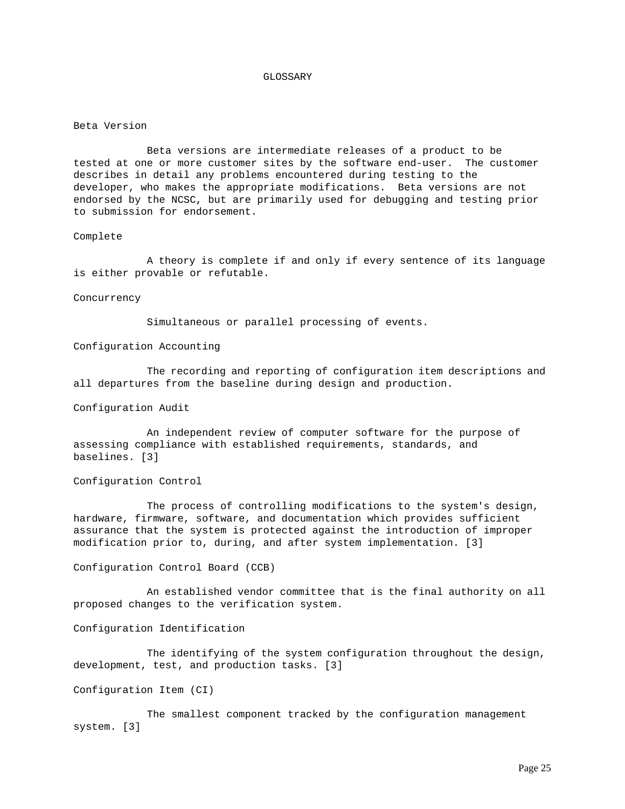### GLOSSARY

#### Beta Version

Beta versions are intermediate releases of a product to be tested at one or more customer sites by the software end-user. The customer describes in detail any problems encountered during testing to the developer, who makes the appropriate modifications. Beta versions are not endorsed by the NCSC, but are primarily used for debugging and testing prior to submission for endorsement.

#### Complete

A theory is complete if and only if every sentence of its language is either provable or refutable.

### Concurrency

Simultaneous or parallel processing of events.

Configuration Accounting

The recording and reporting of configuration item descriptions and all departures from the baseline during design and production.

Configuration Audit

An independent review of computer software for the purpose of assessing compliance with established requirements, standards, and baselines. [3]

Configuration Control

The process of controlling modifications to the system's design, hardware, firmware, software, and documentation which provides sufficient assurance that the system is protected against the introduction of improper modification prior to, during, and after system implementation. [3]

# Configuration Control Board (CCB)

An established vendor committee that is the final authority on all proposed changes to the verification system.

# Configuration Identification

The identifying of the system configuration throughout the design, development, test, and production tasks. [3]

# Configuration Item (CI)

The smallest component tracked by the configuration management system. [3]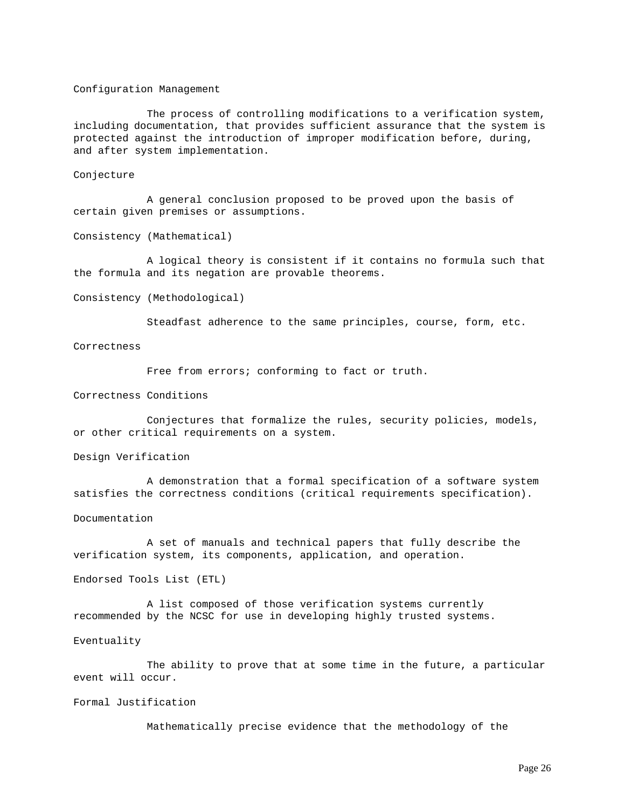## Configuration Management

The process of controlling modifications to a verification system, including documentation, that provides sufficient assurance that the system is protected against the introduction of improper modification before, during, and after system implementation.

# Conjecture

A general conclusion proposed to be proved upon the basis of certain given premises or assumptions.

#### Consistency (Mathematical)

A logical theory is consistent if it contains no formula such that the formula and its negation are provable theorems.

# Consistency (Methodological)

Steadfast adherence to the same principles, course, form, etc.

#### Correctness

Free from errors; conforming to fact or truth.

#### Correctness Conditions

Conjectures that formalize the rules, security policies, models, or other critical requirements on a system.

#### Design Verification

A demonstration that a formal specification of a software system satisfies the correctness conditions (critical requirements specification).

### Documentation

A set of manuals and technical papers that fully describe the verification system, its components, application, and operation.

Endorsed Tools List (ETL)

A list composed of those verification systems currently recommended by the NCSC for use in developing highly trusted systems.

#### Eventuality

The ability to prove that at some time in the future, a particular event will occur.

# Formal Justification

Mathematically precise evidence that the methodology of the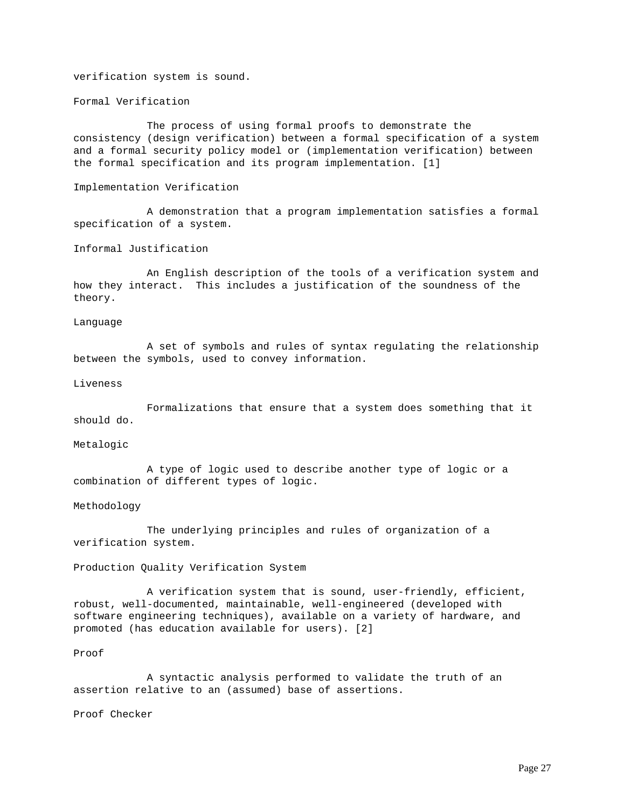verification system is sound.

Formal Verification

The process of using formal proofs to demonstrate the consistency (design verification) between a formal specification of a system and a formal security policy model or (implementation verification) between the formal specification and its program implementation. [1]

#### Implementation Verification

A demonstration that a program implementation satisfies a formal specification of a system.

Informal Justification

An English description of the tools of a verification system and how they interact. This includes a justification of the soundness of the theory.

#### Language

A set of symbols and rules of syntax regulating the relationship between the symbols, used to convey information.

### Liveness

Formalizations that ensure that a system does something that it should do.

# Metalogic

A type of logic used to describe another type of logic or a combination of different types of logic.

# Methodology

The underlying principles and rules of organization of a verification system.

# Production Quality Verification System

A verification system that is sound, user-friendly, efficient, robust, well-documented, maintainable, well-engineered (developed with software engineering techniques), available on a variety of hardware, and promoted (has education available for users). [2]

# Proof

A syntactic analysis performed to validate the truth of an assertion relative to an (assumed) base of assertions.

Proof Checker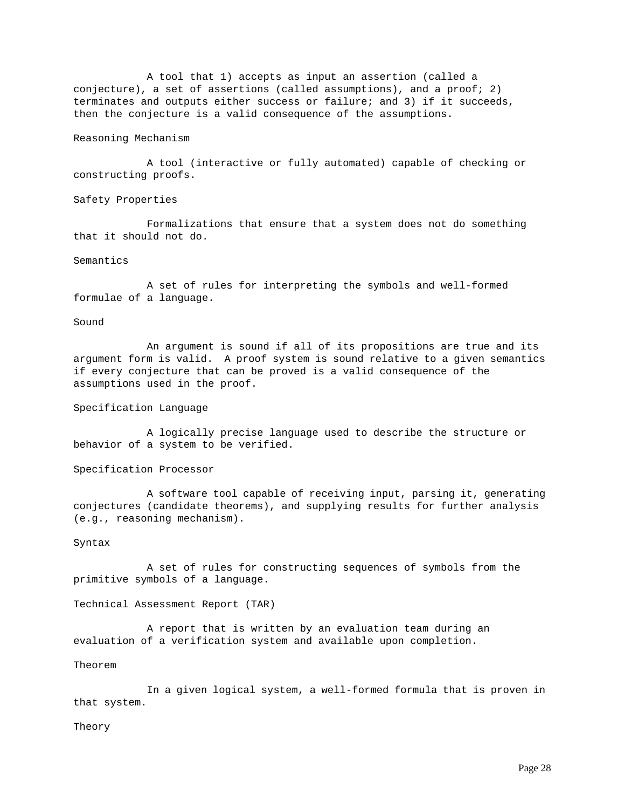A tool that 1) accepts as input an assertion (called a conjecture), a set of assertions (called assumptions), and a proof; 2) terminates and outputs either success or failure; and 3) if it succeeds, then the conjecture is a valid consequence of the assumptions.

# Reasoning Mechanism

A tool (interactive or fully automated) capable of checking or constructing proofs.

Safety Properties

Formalizations that ensure that a system does not do something that it should not do.

#### Semantics

A set of rules for interpreting the symbols and well-formed formulae of a language.

## Sound

An argument is sound if all of its propositions are true and its argument form is valid. A proof system is sound relative to a given semantics if every conjecture that can be proved is a valid consequence of the assumptions used in the proof.

## Specification Language

A logically precise language used to describe the structure or behavior of a system to be verified.

Specification Processor

A software tool capable of receiving input, parsing it, generating conjectures (candidate theorems), and supplying results for further analysis (e.g., reasoning mechanism).

### Syntax

A set of rules for constructing sequences of symbols from the primitive symbols of a language.

Technical Assessment Report (TAR)

A report that is written by an evaluation team during an evaluation of a verification system and available upon completion.

#### Theorem

In a given logical system, a well-formed formula that is proven in that system.

#### Theory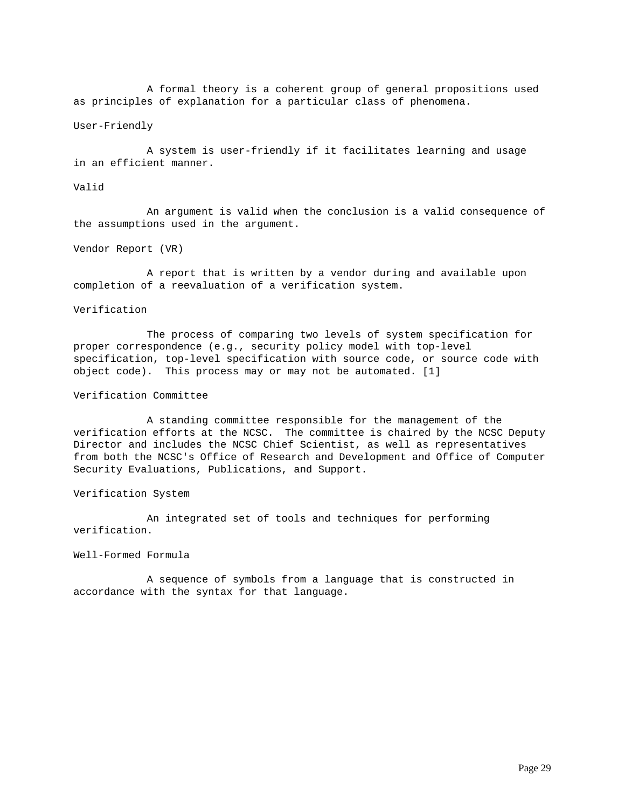A formal theory is a coherent group of general propositions used as principles of explanation for a particular class of phenomena.

#### User-Friendly

A system is user-friendly if it facilitates learning and usage in an efficient manner.

# Valid

An argument is valid when the conclusion is a valid consequence of the assumptions used in the argument.

Vendor Report (VR)

A report that is written by a vendor during and available upon completion of a reevaluation of a verification system.

## Verification

The process of comparing two levels of system specification for proper correspondence (e.g., security policy model with top-level specification, top-level specification with source code, or source code with object code). This process may or may not be automated. [1]

#### Verification Committee

A standing committee responsible for the management of the verification efforts at the NCSC. The committee is chaired by the NCSC Deputy Director and includes the NCSC Chief Scientist, as well as representatives from both the NCSC's Office of Research and Development and Office of Computer Security Evaluations, Publications, and Support.

# Verification System

An integrated set of tools and techniques for performing verification.

### Well-Formed Formula

A sequence of symbols from a language that is constructed in accordance with the syntax for that language.